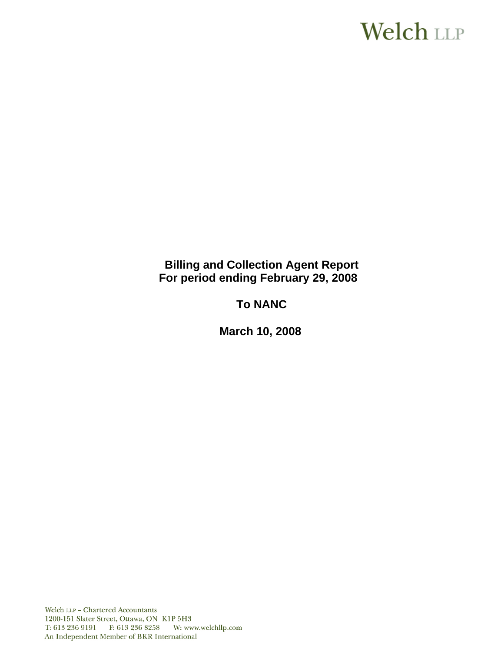# **Welch LLP**

# **Billing and Collection Agent Report For period ending February 29, 2008**

# **To NANC**

 **March 10, 2008**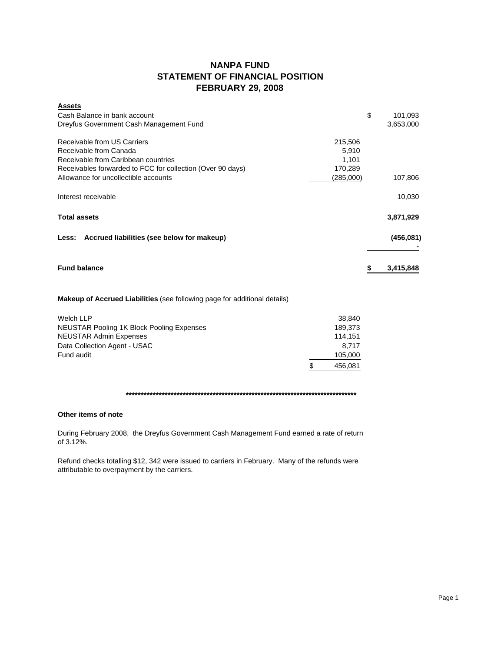## **NANPA FUND STATEMENT OF FINANCIAL POSITION FEBRUARY 29, 2008**

| <b>Assets</b>                                              |           |               |
|------------------------------------------------------------|-----------|---------------|
| Cash Balance in bank account                               |           | \$<br>101,093 |
| Dreyfus Government Cash Management Fund                    |           | 3,653,000     |
| Receivable from US Carriers                                | 215,506   |               |
| Receivable from Canada                                     |           |               |
| Receivable from Caribbean countries                        |           |               |
| Receivables forwarded to FCC for collection (Over 90 days) | 170,289   |               |
| Allowance for uncollectible accounts                       | (285,000) | 107,806       |
| Interest receivable                                        |           | 10,030        |
| <b>Total assets</b>                                        |           | 3,871,929     |
| Less: Accrued liabilities (see below for makeup)           |           | (456, 081)    |
|                                                            |           |               |
| <b>Fund balance</b>                                        |           | 3,415,848     |

**Makeup of Accrued Liabilities** (see following page for additional details)

| Welch LLP                                        | 38.840        |
|--------------------------------------------------|---------------|
| <b>NEUSTAR Pooling 1K Block Pooling Expenses</b> | 189.373       |
| <b>NEUSTAR Admin Expenses</b>                    | 114.151       |
| Data Collection Agent - USAC                     | 8.717         |
| Fund audit                                       | 105,000       |
|                                                  | \$<br>456,081 |

## **\*\*\*\*\*\*\*\*\*\*\*\*\*\*\*\*\*\*\*\*\*\*\*\*\*\*\*\*\*\*\*\*\*\*\*\*\*\*\*\*\*\*\*\*\*\*\*\*\*\*\*\*\*\*\*\*\*\*\*\*\*\*\*\*\*\*\*\*\*\*\*\*\*\*\*\*\***

### **Other items of note**

During February 2008, the Dreyfus Government Cash Management Fund earned a rate of return of 3.12%.

Refund checks totalling \$12, 342 were issued to carriers in February. Many of the refunds were attributable to overpayment by the carriers.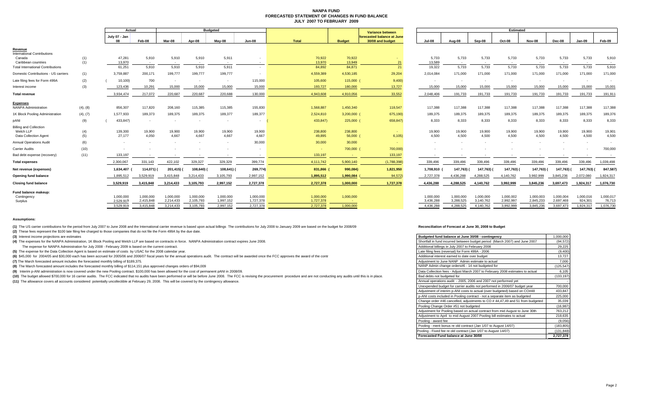#### **NANPA FUND FORECASTED STATEMENT OF CHANGES IN FUND BALANCEJULY 2007 TO FEBRUARY 2009**

|                                                |            | Actual |                        |                        | <b>Budgeted</b>        |                        |                        |                        |                        | Variance between  | <b>Estimated</b>                               |                          |                        |                           |                        |                        |                        |                      |                     |
|------------------------------------------------|------------|--------|------------------------|------------------------|------------------------|------------------------|------------------------|------------------------|------------------------|-------------------|------------------------------------------------|--------------------------|------------------------|---------------------------|------------------------|------------------------|------------------------|----------------------|---------------------|
|                                                |            |        | July 07 - Jan          | Feb-08                 | Mar-08                 | Apr-08                 | Mav-08                 | <b>Jun-08</b>          | Total                  | <b>Budget</b>     | forecasted balance at June<br>30/08 and budget | <b>Jul-08</b>            | Aug-08                 | Sep-08                    | Oct-08                 | Nov-08                 | Dec-08                 | Jan-09               | Feb-09              |
| Revenue<br><b>International Contributions</b>  |            |        |                        |                        |                        |                        |                        |                        |                        |                   |                                                |                          |                        |                           |                        |                        |                        |                      |                     |
| Canada<br>Caribbean countries                  | (1)<br>(1) |        | 47,281<br>13,970       | 5,910<br>$\sim$ $-$    | 5,910<br>$\sim$        | 5,910<br>$\sim$        | 5,911<br>$\sim$        | $\sim$                 | 70,922<br>13,970       | 70,922<br>13,949  | 21                                             | 5,733<br>13,589          | 5,733<br>$\sim$        | 5,733<br>$\sim$ 100 $\mu$ | 5,733<br>$\sim$        | 5,733<br>$\sim$        | 5,733<br>$\sim$ $-$    | 5,733<br>$\sim$      | 5,910<br>$\sim$     |
| <b>Total International Contributions</b>       |            |        | 61,251                 | 5,910                  | 5,910                  | 5,910                  | 5,911                  | $\sim$                 | 84,892                 | 84,871            | 21                                             | 19,322                   | 5,733                  | 5,733                     | 5,733                  | 5,733                  | 5,733                  | 5,733                | 5,910               |
| Domestic Contributions - US carriers           | (1)        |        | 3,759,887              | 200,171                | 199,777                | 199,777                | 199,777                | $\sim$                 | 4,559,389              | 4,530,185         | 29,204                                         | 2,014,084                | 171,000                | 171,000                   | 171,000                | 171,000                | 171,000                | 171,000              | 171,000             |
| Late filing fees for Form 499A                 | (2)        |        | 10,100)                | 700                    | $\sim$                 | $\sim$                 | $\sim$                 | 115,000                | 105,600                | 115,000           | 9,400                                          | $\overline{\phantom{a}}$ | $\sim$                 | $\overline{\phantom{a}}$  |                        | $\sim$                 | $\sim$                 |                      |                     |
| Interest income                                | (3)        |        | 123.436                | 10.291                 | 15,000                 | 15,000                 | 15,000                 | 15,000                 | 193,727                | 180,000           | 13.727                                         | 15,000                   | 15,000                 | 15,000                    | 15,000                 | 15,000                 | 15,000                 | 15,000               | 15,001              |
| <b>Total revenue</b>                           |            |        | 3,934,474              | 217,072                | 220,687                | 220,687                | 220,688                | 130,000                | 4,943,608              | 4,910,056         | 33,552                                         | 2,048,406                | 191,733                | 191,733                   | 191,733                | 191,733                | 191,733                | 191,733              | 191,91              |
| <b>Expenses</b><br><b>NANPA Administration</b> | (4), (8)   |        | 856,307                | 117,820                | 208,160                | 115,385                | 115,385                | 155,830                | 1,568,887              | 1,450,340         | 118,547                                        | 117,388                  | 117,388                | 117,388                   | 117,388                | 117,388                | 117,388                | 117,388              | 117,388             |
| 1K Block Pooling Administration                | (4), (7)   |        | 1,577,933              | 189,373                | 189,375                | 189,375                | 189,377                | 189,377                | 2,524,810              | 3,200,000         | 675,190)                                       | 189,375                  | 189,375                | 189,375                   | 189,375                | 189,375                | 189,375                | 189,375              | 189,376             |
| DANI                                           | (9)        |        | 433,847)               |                        |                        |                        | $\sim$                 | $\sim$                 | 433,847)               | 225,000           | 658,847)                                       | 8,333                    | 8,333                  | 8,333                     | 8,333                  | 8,333                  | 8,333                  | 8,333                | 8,333               |
| <b>Billing and Collection</b>                  |            |        |                        |                        |                        |                        |                        |                        |                        |                   |                                                |                          |                        |                           |                        |                        |                        |                      |                     |
| Welch LLP<br>Data Collection Agent             | (4)<br>(5) |        | 139,300<br>27,177      | 19,900<br>4,050        | 19,900<br>4,667        | 19,900<br>4.667        | 19,900<br>4,667        | 19,900<br>4,667        | 238,800<br>49,895      | 238,800<br>56,000 | <b>Section</b><br>6,105                        | 19,900<br>4,500          | 19,900<br>4,500        | 19,900<br>4,500           | 19,900<br>4,500        | 19,900<br>4,500        | 19,900<br>4,500        | 19,900<br>4,500      | 19,901<br>4,500     |
| <b>Annual Operations Audit</b>                 | (6)        |        | $\sim$                 |                        | $\sim$                 |                        | $\sim$                 | 30,000                 | 30,000                 | 30,000            | <b>Section</b>                                 | $\sim$                   | <b>.</b>               | $\sim$                    |                        | $\sim$                 | $\sim$                 |                      |                     |
| <b>Carrier Audits</b>                          | (10)       |        |                        |                        |                        |                        |                        | $\sim$                 | $\sim$                 | 700,000 (         | 700,000)                                       |                          |                        |                           |                        |                        |                        |                      | 700,000             |
| Bad debt expense (recovery)                    | (11)       |        | 133,197                |                        | $\sim$                 | $\sim$                 | $\sim$                 | $\sim$                 | 133,197                | <b>Contract</b>   | 133,197                                        |                          |                        | $\sim$                    | $\sim$                 |                        |                        |                      | $\sim$              |
| <b>Total expenses</b>                          |            |        | 2,300,067              | 331,143                | 422,102                | 329,327                | 329,329                | 399,774                | 4,111,742              | 5,900,140         | (1,788,398)                                    | 339,496                  | 339,496                | 339,496                   | 339,496                | 339,496                | 339,496                | 339,496              | 1,039,498           |
| Net revenue (expenses)                         |            |        | 1,634,407              | 114,071)               | 201,415)               | 108,640)               | 108,641) (             | 269,774)               | 831,866                | 990,084)          | 1,821,950                                      | 1,708,910                | 147,763)               | 147,763)                  | 147,763) (             | 147,763)               | 147,763)               | 147,763)             | 847,587)            |
| Opening fund balance                           |            |        | 1,895,512              | 3,529,919              | 3,415,848              | 3,214,433              | 3,105,793              | 2,997,152              | 1,895,512              | 1,990,084         | 94,572)                                        | 2,727,378                | 4,436,288              | 4,288,525                 | 4,140,762              | 3,992,999              | 3,845,236              | 2,072,080            | 1,924,317           |
| <b>Closing fund balance</b>                    |            |        | 3,529,919              | 3,415,848              | 3,214,433              | 3,105,793              | 2,997,152              | 2,727,378              | 2,727,378              | 1,000,000         | 1,727,378                                      | 4,436,288                | 4,288,525              | 4,140,762                 | 3,992,999              | 3,845,236              | 3,697,473              | 1,924,317            | 1,076,730           |
| Fund balance makeup:<br>Contingency            |            |        | 1,000,000<br>2.529.919 | 1,000,000<br>2.415.848 | 1,000,000<br>2.214.433 | 1,000,000<br>2,105,793 | 1,000,000<br>1,997,152 | 1,000,000<br>1,727,378 | 1,000,000<br>1,727,378 | 1,000,000         |                                                | 1,000,000<br>3.436.288   | 1,000,000<br>3.288.525 | 1,000,000<br>3.140.762    | 1,000,002<br>2,992,997 | 1.000.003<br>2.845.233 | 1.000.004<br>2.697.469 | 1,000,016<br>924.301 | 1,000,017<br>76,713 |
| Surplus                                        |            |        | 3,529,919              | 3,415,848              | 3,214,433              | 3,105,793              | 2,997,152              | 2,727,378              | 2,727,378              | - 1<br>1.000.000  |                                                | 4,436,288                | 4,288,525              | 4,140,762                 | 3,992,999              | 3,845,236              | 3,697,473              | 1,924,317            | 1,076,730           |
|                                                |            |        |                        |                        |                        |                        |                        |                        |                        |                   |                                                |                          |                        |                           |                        |                        |                        |                      |                     |

#### **Assumptions:**

(1) The US carrier contributions for the period from July 2007 to June 2008 and the International carrier revenue is based upon actual billings The contributions for July 2008 to January 2009 are based on the budget for 20

**(2)** These fees represent the \$100 late filing fee charged to those companies that do not file the Form 499A by the due date.

**(3)** Interest income projections are estimates

**(4)** The expenses for the NANPA Administration, 1K Block Pooling and Welch LLP are based on contracts in force. NANPA Administration contract expires June 2008.

The expense for NANPA Administration for July 2008 - February 2009 is based on the current contract.

**(5)** The expense for the Data Collection Agent is based on estimate of costs by USAC for the 2008 calendar year.

(6) \$45,000 for 2004/05 and \$30,000 each has been accrued for 2005/06 and 2006/07 fiscal years for the annual operations audit. The contract will be awarded once the FCC approves the award of the contr

**(7)** The March forecasted amount includes the forecasted monthly billing of \$189,375.

**(8)** The March forecasted amount includes the forecasted monthly billing of \$114,151 plus approved changes orders of \$94,009

**(9)** Interim p-ANI administration is now covered under the new Pooling contract. \$100,000 has been allowed for the cost of permanent pANI in 2008/09.

(10) The budget allowed \$700,000 for 16 carrier audits. The FCC indicated that no audits have been performed or will be before June 2008. The FCC is revising the procurement procedure and are not conducting any audits unti

**(11)** The allowance covers all accounts considered potentially uncollectible at February 29, 2008. This will be covered by the contingency allowance.

#### **Reconciliation of Forecast at June 30, 2008 to Budget**

| Budgeted fund balance at June 30/08 - contingency                             | 1,000,000  |
|-------------------------------------------------------------------------------|------------|
| Shortfall in fund incurred between budget period (March 2007) and June 2007   | (94.572)   |
| Additional billings in July 2007 to February 2008                             | 29,225     |
| Late filing fees (reversal) for Form 499A - 2006                              | (9,400)    |
| Additional interest earned to date over budget                                | 13,727     |
| Adiustment to June NANP Admin estimate to actual                              | 7,000      |
| NANP Admin change orders#6 - 14 not budgeted for                              | (125, 547) |
| Data Collection fees - Adjust March 2007 to February 2008 estimates to actual | 6,105      |
| Bad debts not budgeted for                                                    | (133, 197) |
| Annual operations audit - 2005, 2006 and 2007 not performed yet               |            |
| Unexpended budget for carrier audits not performed in 2006/07 budget year     | 700,000    |
| Adjustment of interim p-ANI costs to actual (over budgeted) based on CO#48    | 433,847    |
| p-ANI costs included in Pooling contract - not a separate item as budgeted    | 225,000    |
| Change order #46 cancelled, adjustments to CO #44,47,49 and 51 from budgeted  | 35,039     |
| Pooling Change Order #51 not budgeted                                         | (16, 987)  |
| Adjustment for Pooling based on actual contract from mid August to June 30th  | 763,212    |
| Adjustment to April to mid August 2007 Pooling bill estimates to actual       | 218,635    |
| Pooling - award fee                                                           | (9,056)    |
| Pooling - merit bonus re old contract (Jan 1/07 to August 14/07)              | (183, 805) |
| Pooling - Fixed fee re old contract (Jan 1/07 to August 14/07)                | (131, 848) |
| Forecasted Fund balance at June 30/08                                         | 2,727,378  |